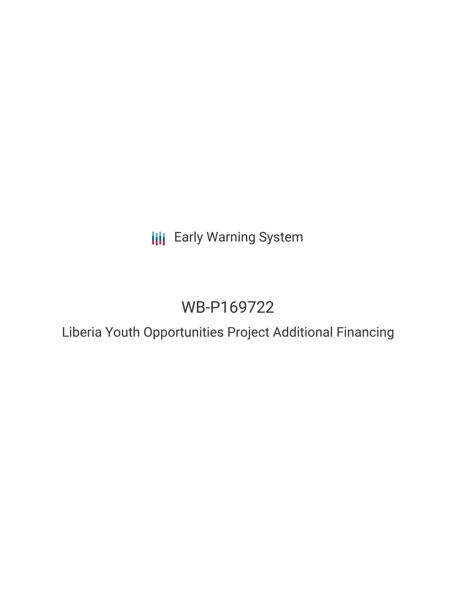**III** Early Warning System

# WB-P169722

Liberia Youth Opportunities Project Additional Financing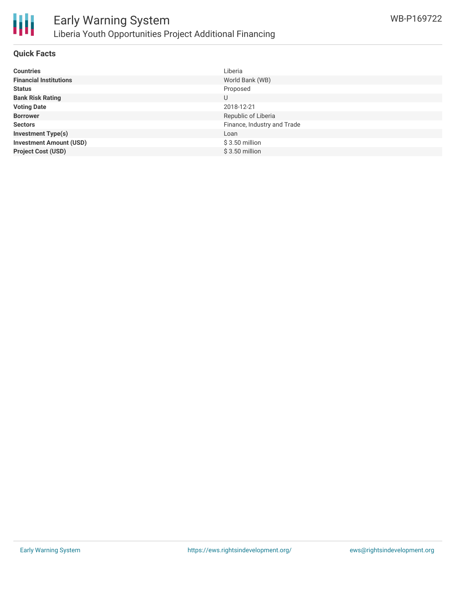

#### **Quick Facts**

| <b>Countries</b>               | Liberia                     |
|--------------------------------|-----------------------------|
| <b>Financial Institutions</b>  | World Bank (WB)             |
| <b>Status</b>                  | Proposed                    |
| <b>Bank Risk Rating</b>        | U                           |
| <b>Voting Date</b>             | 2018-12-21                  |
| <b>Borrower</b>                | Republic of Liberia         |
| <b>Sectors</b>                 | Finance, Industry and Trade |
| <b>Investment Type(s)</b>      | Loan                        |
| <b>Investment Amount (USD)</b> | $$3.50$ million             |
| <b>Project Cost (USD)</b>      | $$3.50$ million             |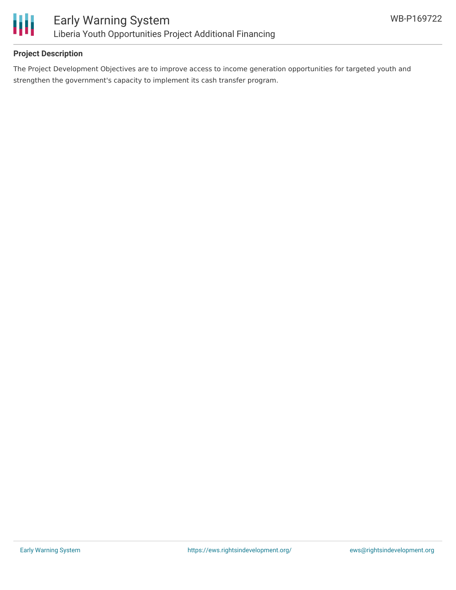

## **Project Description**

The Project Development Objectives are to improve access to income generation opportunities for targeted youth and strengthen the government's capacity to implement its cash transfer program.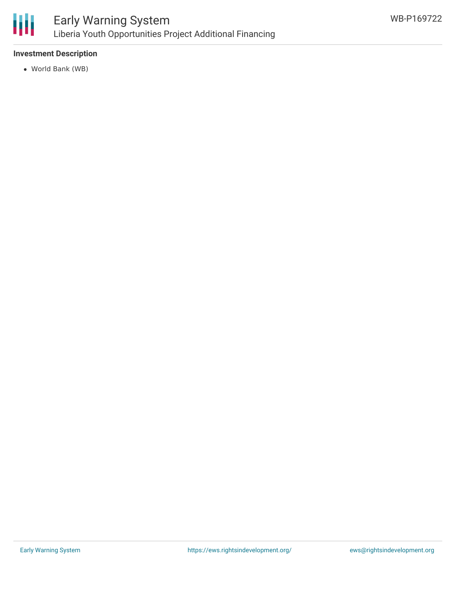

# **Investment Description**

World Bank (WB)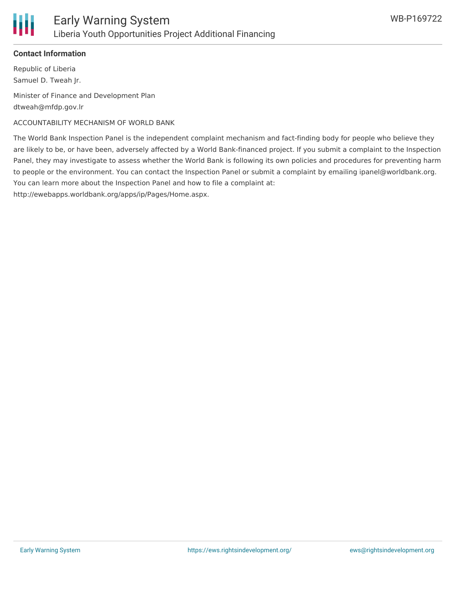### **Contact Information**

Republic of Liberia Samuel D. Tweah Jr.

Minister of Finance and Development Plan dtweah@mfdp.gov.lr

## ACCOUNTABILITY MECHANISM OF WORLD BANK

The World Bank Inspection Panel is the independent complaint mechanism and fact-finding body for people who believe they are likely to be, or have been, adversely affected by a World Bank-financed project. If you submit a complaint to the Inspection Panel, they may investigate to assess whether the World Bank is following its own policies and procedures for preventing harm to people or the environment. You can contact the Inspection Panel or submit a complaint by emailing ipanel@worldbank.org. You can learn more about the Inspection Panel and how to file a complaint at:

http://ewebapps.worldbank.org/apps/ip/Pages/Home.aspx.